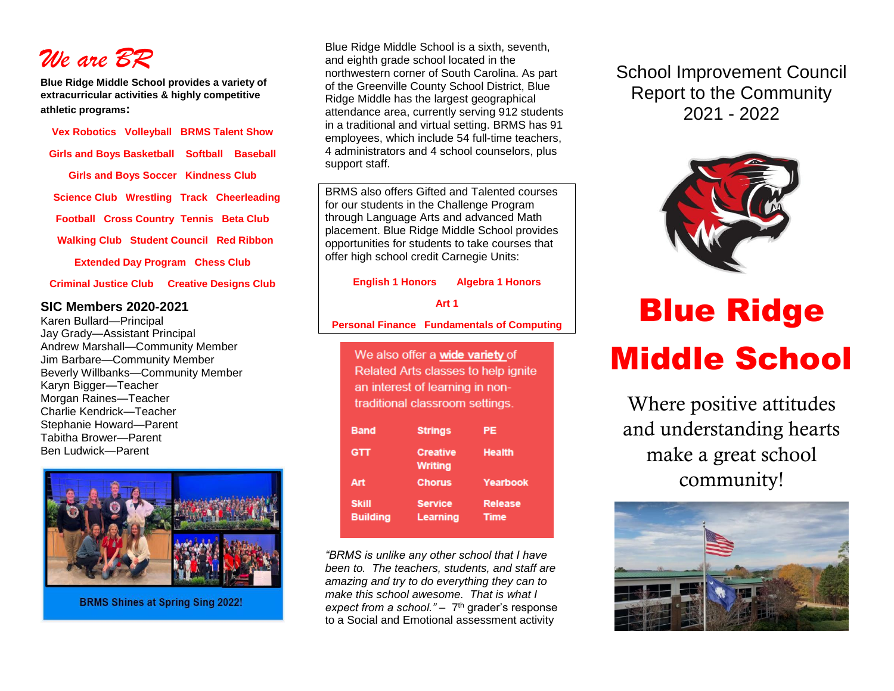

**Blue Ridge Middle School provides a variety of extracurricular activities & highly competitive athletic programs:**

**Vex Robotics Volleyball BRMS Talent Show Girls and Boys Basketball Softball Baseball Girls and Boys Soccer Kindness Club Science Club Wrestling Track Cheerleading Football Cross Country Tennis Beta Club Walking Club Student Council Red Ribbon Extended Day Program Chess Club** 

**Criminal Justice Club Creative Designs Club**

#### **SIC Members 2020-2021**

Karen Bullard—Principal Jay Grady—Assistant Principal Andrew Marshall—Community Member Jim Barbare—Community Member Beverly Willbanks—Community Member Karyn Bigger—Teacher Morgan Raines—Teacher Charlie Kendrick—Teacher Stephanie Howard—Parent Tabitha Brower—Parent Ben Ludwick—Parent



**BRMS Shines at Spring Sing 2022!** 

Blue Ridge Middle School is a sixth, seventh, and eighth grade school located in the northwestern corner of South Carolina. As part of the Greenville County School District, Blue Ridge Middle has the largest geographical attendance area, currently serving 912 students in a traditional and virtual setting. BRMS has 91 employees, which include 54 full-time teachers, 4 administrators and 4 school counselors, plus support staff.

BRMS also offers Gifted and Talented courses for our students in the Challenge Program through Language Arts and advanced Math placement. Blue Ridge Middle School provides opportunities for students to take courses that offer high school credit Carnegie Units:

**English 1 Honors Algebra 1 Honors**

#### **Art 1**

**Personal Finance Fundamentals of Computing**

We also offer a wide variety of Related Arts classes to help ignite an interest of learning in nontraditional classroom settings.

| <b>Band</b>                     | <b>Strings</b>                    | РE                            |
|---------------------------------|-----------------------------------|-------------------------------|
| GTT                             | <b>Creative</b><br><b>Writing</b> | Health                        |
| Art                             | <b>Chorus</b>                     | Yearbook                      |
| <b>Skill</b><br><b>Building</b> | <b>Service</b><br>Learning        | <b>Release</b><br><b>Time</b> |

*"BRMS is unlike any other school that I have been to. The teachers, students, and staff are amazing and try to do everything they can to make this school awesome. That is what I*  expect from a school." - 7<sup>th</sup> grader's response to a Social and Emotional assessment activity

School Improvement Council Report to the Community 2021 - 2022



# Blue Ridge Middle School

Where positive attitudes and understanding hearts make a great school community!